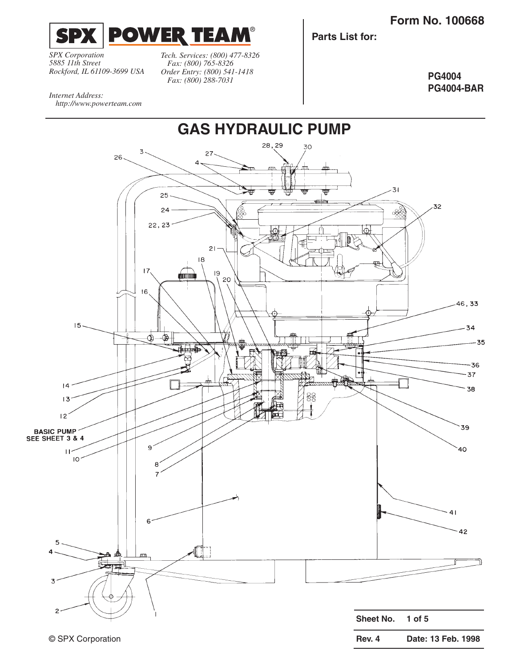**Rev. 4 Date: 13 Feb. 1998**



*SPX Corporation 5885 11th Street Rockford, IL 61109-3699 USA*

*http://www.powerteam.com*

*Internet Address:* 

*Tech. Services: (800) 477-8326 Fax: (800) 765-8326 Order Entry: (800) 541-1418 Fax: (800) 288-7031*

®

**Parts List for:**

**PG4004 PG4004-BAR**

**GAS HYDRAULIC PUMP** 28,29 30 3  $27$ 26  $\overline{a}$  $31$ 25 minin 32 24 od 22, 23 ₽ J  $21$ 18  $17.$  $19$ durinm 20  $16$ 46,33  $15 -34$ ⊕ ⊕  $-35$  $-36$  $-37$  $|4$  $-38$ 88  $13$ 군  $|2\rangle$ ľш  $39$ **BASIC PUMP** SEE SHEET 3 & 4  $\overline{9}$  $40^{\circ}$  $\mathbf{H}$  $10<sub>1</sub>$ 8  $-41$ 6  $-42$ 5 க்கீ m **Corpor** 3 2 **Sheet No. 1 of 5**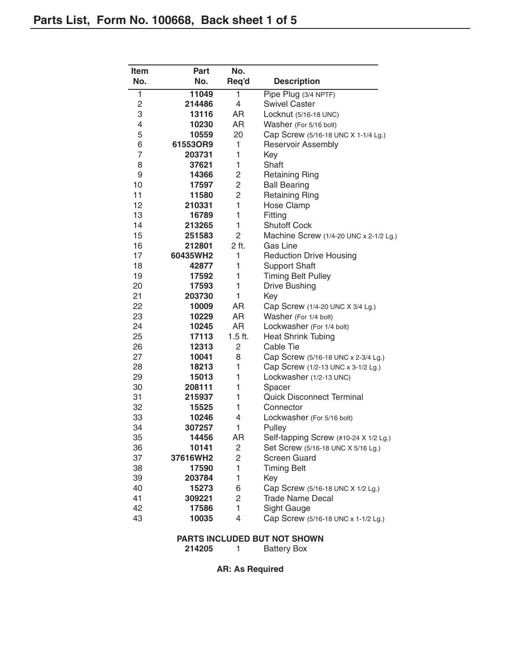| <b>Item</b>  | Part     | No.            |                                        |
|--------------|----------|----------------|----------------------------------------|
| No.          | No.      | Req'd          | <b>Description</b>                     |
| $\mathbf{1}$ | 11049    | 1              | Pipe Plug (3/4 NPTF)                   |
| 2            | 214486   | 4              | <b>Swivel Caster</b>                   |
| З            | 13116    | AR             | Locknut (5/16-18 UNC)                  |
| 4            | 10230    | AR             | Washer (For 5/16 bolt)                 |
| 5            | 10559    | 20             | Cap Screw (5/16-18 UNC X 1-1/4 Lg.)    |
| 6            | 61553OR9 | 1              | Reservoir Assembly                     |
| 7            | 203731   | 1              | Key                                    |
| 8            | 37621    | 1              | Shaft                                  |
| 9            | 14366    | $\overline{c}$ | <b>Retaining Ring</b>                  |
| 10           | 17597    | $\overline{c}$ | <b>Ball Bearing</b>                    |
| 11           | 11580    | $\overline{c}$ | <b>Retaining Ring</b>                  |
| 12           | 210331   | $\mathbf{1}$   | <b>Hose Clamp</b>                      |
| 13           | 16789    | 1              | Fitting                                |
| 14           | 213265   | 1              | <b>Shutoff Cock</b>                    |
| 15           | 251583   | $\overline{c}$ | Machine Screw (1/4-20 UNC x 2-1/2 Lg.) |
| 16           | 212801   | 2 ft.          | Gas Line                               |
| 17           | 60435WH2 | 1              | <b>Reduction Drive Housing</b>         |
| 18           | 42877    | 1              | <b>Support Shaft</b>                   |
| 19           | 17592    | 1              | <b>Timing Belt Pulley</b>              |
| 20           | 17593    | 1              | <b>Drive Bushing</b>                   |
| 21           | 203730   | 1              | Key                                    |
| 22           | 10009    | AR             | Cap Screw (1/4-20 UNC X 3/4 Lg.)       |
| 23           | 10229    | AR             | Washer (For 1/4 bolt)                  |
| 24           | 10245    | AR             | Lockwasher (For 1/4 bolt)              |
| 25           | 17113    | $1.5$ ft.      | <b>Heat Shrink Tubing</b>              |
| 26           | 12313    | $\overline{c}$ | Cable Tie                              |
| 27           | 10041    | 8              | Cap Screw (5/16-18 UNC x 2-3/4 Lg.)    |
| 28           | 18213    | 1              | Cap Screw (1/2-13 UNC x 3-1/2 Lg.)     |
| 29           | 15013    | 1              | Lockwasher (1/2-13 UNC)                |
| 30           | 208111   | 1              | Spacer                                 |
| 31           | 215937   | 1              | <b>Quick Disconnect Terminal</b>       |
| 32           | 15525    | 1              | Connector                              |
| 33           | 10246    | 4              | Lockwasher (For 5/16 bolt)             |
| 34           | 307257   | 1              | Pulley                                 |
| 35           | 14456    | AR             | Self-tapping Screw (#10-24 X 1/2 Lg.)  |
| 36           | 10141    | 2              | Set Screw (5/16-18 UNC X 5/16 Lg.)     |
| 37           | 37616WH2 | $\overline{c}$ | <b>Screen Guard</b>                    |
| 38           | 17590    | 1              | <b>Timing Belt</b>                     |
| 39           | 203784   | 1              | Key                                    |
| 40           | 15273    | 6              | Cap Screw (5/16-18 UNC X 1/2 Lg.)      |
| 41           | 309221   | 2              | <b>Trade Name Decal</b>                |
| 42           | 17586    | 1              | Sight Gauge                            |
| 43           | 10035    | 4              | Cap Screw (5/16-18 UNC x 1-1/2 Lg.)    |

## **PARTS INCLUDED BUT NOT SHOWN**<br>214205 1 Battery Box

**Battery Box** 

**AR: As Required**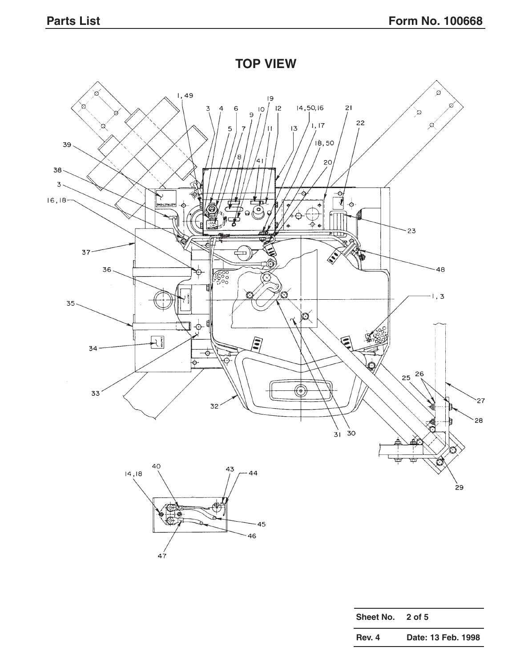**TOP VIEW**



| Sheet No. 2 of 5 |                    |
|------------------|--------------------|
| Rev. 4           | Date: 13 Feb. 1998 |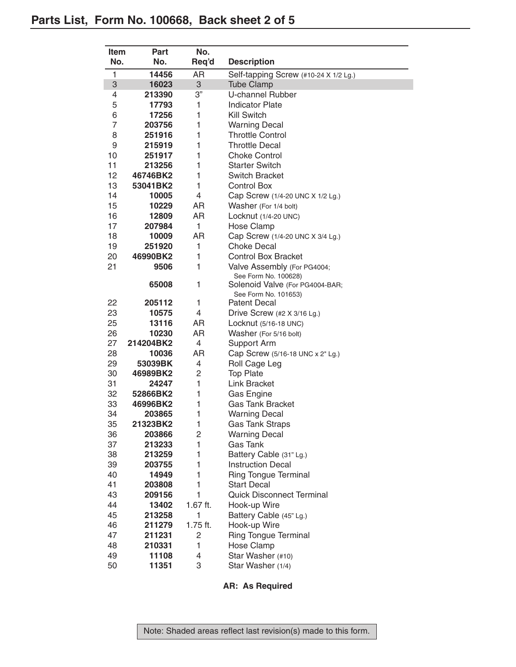| <b>Item</b>  | <b>Part</b> | No.            |                                                         |
|--------------|-------------|----------------|---------------------------------------------------------|
| No.          | No.         | Req'd          | <b>Description</b>                                      |
| $\mathbf{1}$ | 14456       | AR             | Self-tapping Screw (#10-24 X 1/2 Lg.)                   |
| 3            | 16023       | 3              | <b>Tube Clamp</b>                                       |
| 4            | 213390      | 3"             | <b>U-channel Rubber</b>                                 |
| 5            | 17793       | 1              | <b>Indicator Plate</b>                                  |
| 6            | 17256       | 1              | <b>Kill Switch</b>                                      |
| 7            | 203756      | 1              | <b>Warning Decal</b>                                    |
| 8            | 251916      | 1              | <b>Throttle Control</b>                                 |
| 9            | 215919      | 1              | <b>Throttle Decal</b>                                   |
| 10           | 251917      | 1              | <b>Choke Control</b>                                    |
| 11           | 213256      | 1              | <b>Starter Switch</b>                                   |
| 12           | 46746BK2    | 1              | <b>Switch Bracket</b>                                   |
| 13           | 53041BK2    | 1              | <b>Control Box</b>                                      |
| 14           |             | 4              |                                                         |
| 15           | 10005       | AR             | Cap Screw (1/4-20 UNC X 1/2 Lg.)                        |
|              | 10229       |                | Washer (For 1/4 bolt)                                   |
| 16<br>17     | 12809       | AR<br>1        | Locknut $(1/4-20$ UNC)                                  |
|              | 207984      |                | Hose Clamp                                              |
| 18           | 10009       | AR             | Cap Screw (1/4-20 UNC X 3/4 Lg.)<br><b>Choke Decal</b>  |
| 19           | 251920      | 1              |                                                         |
| 20           | 46990BK2    | 1              | <b>Control Box Bracket</b>                              |
| 21           | 9506        | 1              | Valve Assembly (For PG4004;                             |
|              | 65008       | 1              | See Form No. 100628)<br>Solenoid Valve (For PG4004-BAR; |
|              |             |                | See Form No. 101653)                                    |
| 22           | 205112      | 1              | <b>Patent Decal</b>                                     |
| 23           | 10575       | 4              | Drive Screw (#2 X 3/16 Lg.)                             |
| 25           | 13116       | AR             | Locknut (5/16-18 UNC)                                   |
| 26           | 10230       | AR             | Washer (For 5/16 bolt)                                  |
| 27           | 214204BK2   | 4              | Support Arm                                             |
| 28           | 10036       | AR             | Cap Screw (5/16-18 UNC x 2" Lg.)                        |
| 29           | 53039BK     | 4              | Roll Cage Leg                                           |
| 30           | 46989BK2    | $\overline{c}$ | <b>Top Plate</b>                                        |
| 31           | 24247       | 1              | <b>Link Bracket</b>                                     |
| 32           | 52866BK2    | 1              | Gas Engine                                              |
| 33           | 46996BK2    | 1              | <b>Gas Tank Bracket</b>                                 |
| 34           | 203865      | 1              | <b>Warning Decal</b>                                    |
| 35           | 21323BK2    | 1              | <b>Gas Tank Straps</b>                                  |
| 36           | 203866      | 2              | <b>Warning Decal</b>                                    |
| 37           | 213233      | 1              | <b>Gas Tank</b>                                         |
| 38           | 213259      | 1              | Battery Cable (31" Lg.)                                 |
| 39           | 203755      | 1              | <b>Instruction Decal</b>                                |
| 40           | 14949       | 1              | Ring Tongue Terminal                                    |
| 41           | 203808      | 1              | <b>Start Decal</b>                                      |
| 43           | 209156      | 1              | <b>Quick Disconnect Terminal</b>                        |
| 44           | 13402       | $1.67$ ft.     | Hook-up Wire                                            |
| 45           | 213258      | 1              | Battery Cable (45" Lg.)                                 |
| 46           | 211279      | $1.75$ ft.     | Hook-up Wire                                            |
| 47           | 211231      | $\overline{c}$ | <b>Ring Tongue Terminal</b>                             |
| 48           | 210331      | 1              | Hose Clamp                                              |
| 49           | 11108       | 4              | Star Washer (#10)                                       |
| 50           | 11351       | 3              | Star Washer (1/4)                                       |

## **AR: As Required**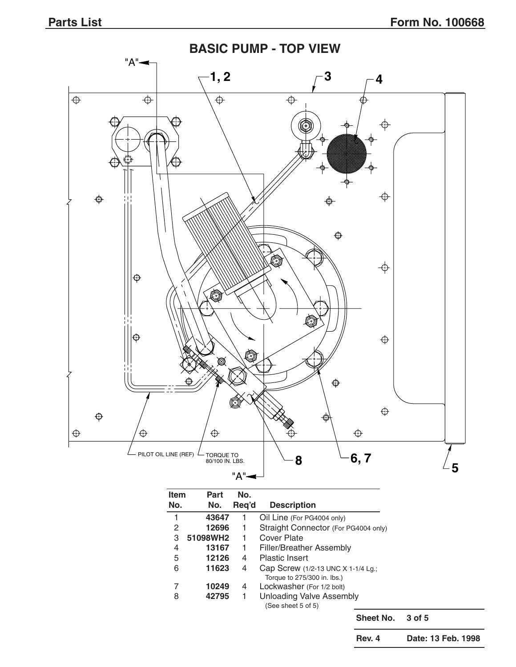

| <b>Item</b> | <b>Part</b> | No.   |                                                                   |  |  |  |  |
|-------------|-------------|-------|-------------------------------------------------------------------|--|--|--|--|
| No.         | No.         | Req'd | <b>Description</b>                                                |  |  |  |  |
|             | 43647       |       | Oil Line (For PG4004 only)                                        |  |  |  |  |
| 2           | 12696       | 1     | Straight Connector (For PG4004 only)                              |  |  |  |  |
| З           | 51098WH2    |       | Cover Plate                                                       |  |  |  |  |
| 4           | 13167       | 1     | Filler/Breather Assembly                                          |  |  |  |  |
| 5           | 12126       | 4     | <b>Plastic Insert</b>                                             |  |  |  |  |
| 6           | 11623       | 4     | Cap Screw (1/2-13 UNC X 1-1/4 Lg.;<br>Torque to 275/300 in. lbs.) |  |  |  |  |
|             | 10249       | 4     | Lockwasher (For 1/2 bolt)                                         |  |  |  |  |
| 8           | 42795       | 1     | <b>Unloading Valve Assembly</b><br>(See sheet 5 of 5)             |  |  |  |  |
|             |             |       | Sheet No.<br>$3$ of $5$                                           |  |  |  |  |

**Rev. 4 Date: 13 Feb. 1998**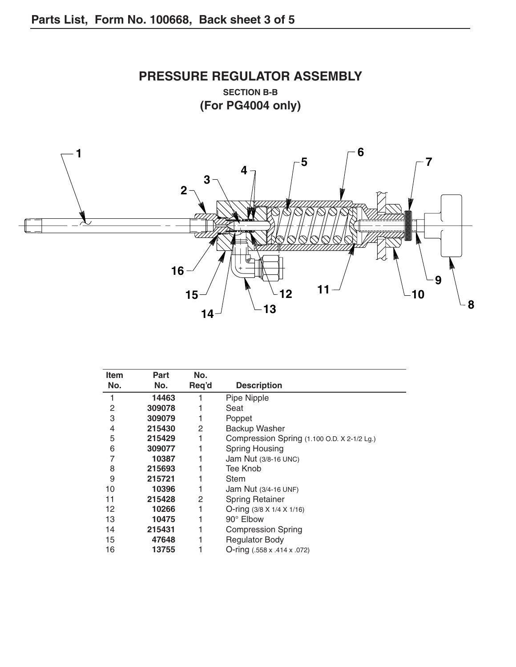

| Item | <b>Part</b> | No.   |                                             |
|------|-------------|-------|---------------------------------------------|
| No.  | No.         | Req'd | <b>Description</b>                          |
|      | 14463       |       | Pipe Nipple                                 |
| 2    | 309078      |       | Seat                                        |
| 3    | 309079      |       | Poppet                                      |
| 4    | 215430      | 2     | Backup Washer                               |
| 5    | 215429      |       | Compression Spring (1.100 O.D. X 2-1/2 Lg.) |
| 6    | 309077      |       | Spring Housing                              |
| 7    | 10387       |       | Jam Nut (3/8-16 UNC)                        |
| 8    | 215693      |       | Tee Knob                                    |
| 9    | 215721      |       | <b>Stem</b>                                 |
| 10   | 10396       |       | Jam Nut (3/4-16 UNF)                        |
| 11   | 215428      | 2     | <b>Spring Retainer</b>                      |
| 12   | 10266       |       | O-ring $(3/8 \times 1/4 \times 1/16)$       |
| 13   | 10475       |       | 90° Elbow                                   |
| 14   | 215431      |       | <b>Compression Spring</b>                   |
| 15   | 47648       |       | <b>Regulator Body</b>                       |
| 16   | 13755       |       | $O$ -ring (.558 x .414 x .072)              |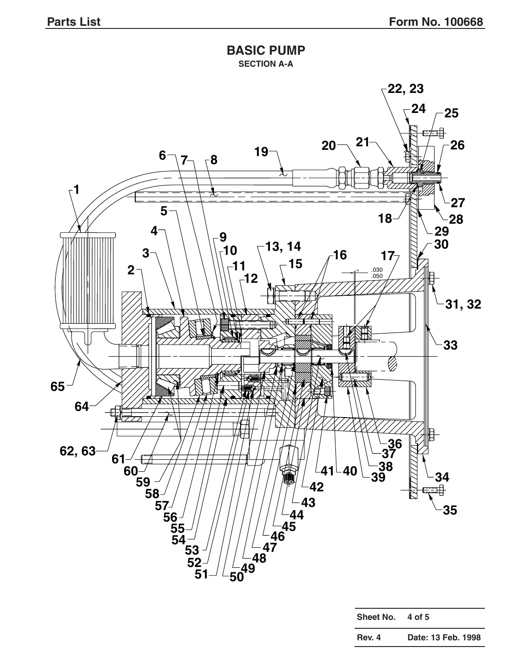## **BASIC PUMP SECTION A-A**



| Rev. 4 | Date: 13 Feb. 1998 |  |
|--------|--------------------|--|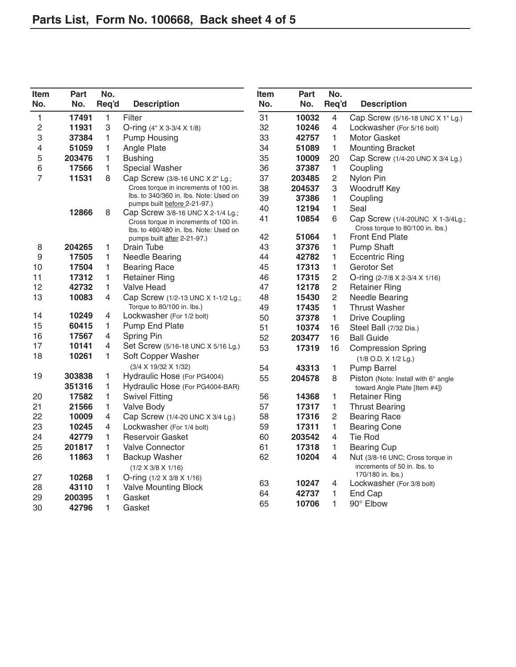| <b>Item</b><br>No. | Part<br>No.    | No.<br>Req'd | <b>Description</b>                                                         | <b>Item</b><br>No. | <b>Part</b><br>No. | No.<br>Req'd   | <b>Description</b>                                               |
|--------------------|----------------|--------------|----------------------------------------------------------------------------|--------------------|--------------------|----------------|------------------------------------------------------------------|
| 1                  | 17491          | 1            | Filter                                                                     | 31                 | 10032              | $\overline{4}$ | Cap Screw (5/16-18 UNC X 1" Lg.)                                 |
| $\overline{c}$     | 11931          | 3            | O-ring (4" X 3-3/4 X 1/8)                                                  | 32                 | 10246              | 4              | Lockwasher (For 5/16 bolt)                                       |
| 3                  | 37384          | 1            | <b>Pump Housing</b>                                                        | 33                 | 42757              | $\mathbf{1}$   | Motor Gasket                                                     |
| 4                  | 51059          | 1            | Angle Plate                                                                | 34                 | 51089              | $\mathbf{1}$   | <b>Mounting Bracket</b>                                          |
| 5                  | 203476         | 1            | <b>Bushing</b>                                                             | 35                 | 10009              | 20             | Cap Screw (1/4-20 UNC X 3/4 Lg.)                                 |
| 6                  | 17566          | 1            | Special Washer                                                             | 36                 | 37387              | $\mathbf{1}$   | Coupling                                                         |
| 7                  | 11531          | 8            | Cap Screw (3/8-16 UNC X 2" Lg.;                                            | 37                 | 203485             | $\overline{c}$ | Nylon Pin                                                        |
|                    |                |              | Cross torque in increments of 100 in.                                      | 38                 | 204537             | 3              | <b>Woodruff Key</b>                                              |
|                    |                |              | Ibs. to 340/360 in. Ibs. Note: Used on                                     | 39                 | 37386              | 1              | Coupling                                                         |
|                    |                |              | pumps built before 2-21-97.)                                               | 40                 | 12194              | $\mathbf{1}$   | Seal                                                             |
|                    | 12866          | 8            | Cap Screw 3/8-16 UNC X 2-1/4 Lg.;<br>Cross torque in increments of 100 in. | 41                 | 10854              | 6              | Cap Screw (1/4-20UNC X 1-3/4Lg.;                                 |
|                    |                |              | Ibs. to 460/480 in. Ibs. Note: Used on                                     |                    |                    |                | Cross torque to 80/100 in. lbs.)                                 |
|                    |                |              | pumps built after 2-21-97.)                                                | 42                 | 51064              | 1              | <b>Front End Plate</b>                                           |
| 8                  | 204265         | 1            | Drain Tube                                                                 | 43                 | 37376              | 1              | <b>Pump Shaft</b>                                                |
| 9                  | 17505          | 1            | <b>Needle Bearing</b>                                                      | 44                 | 42782              | 1              | <b>Eccentric Ring</b>                                            |
| 10                 | 17504          | 1            | <b>Bearing Race</b>                                                        | 45                 | 17313              | $\mathbf{1}$   | Gerotor Set                                                      |
| 11                 | 17312          | 1            | <b>Retainer Ring</b>                                                       | 46                 | 17315              | $\overline{c}$ | O-ring (2-7/8 X 2-3/4 X 1/16)                                    |
| 12                 | 42732          | $\mathbf{1}$ | <b>Valve Head</b>                                                          | 47                 | 12178              | $\overline{c}$ | <b>Retainer Ring</b>                                             |
| 13                 | 10083          | 4            | Cap Screw (1/2-13 UNC X 1-1/2 Lg.;                                         | 48                 | 15430              | $\overline{c}$ | <b>Needle Bearing</b>                                            |
|                    |                |              | Torque to 80/100 in. lbs.)                                                 | 49                 | 17435              | $\mathbf{1}$   | <b>Thrust Washer</b>                                             |
| 14                 | 10249          | 4            | Lockwasher (For 1/2 bolt)                                                  | 50                 | 37378              | $\mathbf{1}$   | <b>Drive Coupling</b>                                            |
| 15                 | 60415          | 1            | Pump End Plate                                                             | 51                 | 10374              | 16             | Steel Ball (7/32 Dia.)                                           |
| 16                 | 17567          | 4            | Spring Pin                                                                 | 52                 | 203477             | 16             | <b>Ball Guide</b>                                                |
| 17<br>18           | 10141<br>10261 | 4<br>1       | Set Screw (5/16-18 UNC X 5/16 Lg.)<br>Soft Copper Washer                   | 53                 | 17319              | 16             | <b>Compression Spring</b><br>$(1/8$ O.D. $X$ $1/2$ Lg.)          |
|                    |                |              | (3/4 X 19/32 X 1/32)                                                       | 54                 | 43313              | $\mathbf{1}$   | <b>Pump Barrel</b>                                               |
| 19                 | 303838         | 1            | Hydraulic Hose (For PG4004)                                                | 55                 | 204578             | 8              | Piston (Note: Install with 6° angle                              |
|                    | 351316         | 1            | Hydraulic Hose (For PG4004-BAR)                                            |                    |                    |                | toward Angle Plate [Item #4])                                    |
| 20                 | 17582          | 1            | <b>Swivel Fitting</b>                                                      | 56                 | 14368              | 1              | <b>Retainer Ring</b>                                             |
| 21                 | 21566          | 1            | Valve Body                                                                 | 57                 | 17317              | $\mathbf{1}$   | <b>Thrust Bearing</b>                                            |
| 22                 | 10009          | 4            | Cap Screw (1/4-20 UNC X 3/4 Lg.)                                           | 58                 | 17316              | $\overline{2}$ | <b>Bearing Race</b>                                              |
| 23                 | 10245          | 4            | Lockwasher (For 1/4 bolt)                                                  | 59                 | 17311              | $\mathbf{1}$   | <b>Bearing Cone</b>                                              |
| 24                 | 42779          | 1            | Reservoir Gasket                                                           | 60                 | 203542             | 4              | <b>Tie Rod</b>                                                   |
| 25                 | 201817         | 1            | <b>Valve Connector</b>                                                     | 61                 | 17318              | 1              | <b>Bearing Cup</b>                                               |
| 26                 | 11863          | 1            | Backup Washer<br>$(1/2 \times 3/8 \times 1/16)$                            | 62                 | 10204              | 4              | Nut (3/8-16 UNC; Cross torque in<br>increments of 50 in. lbs. to |
| 27                 | 10268          | 1            | O-ring (1/2 X 3/8 X 1/16)                                                  | 63                 | 10247              | 4              | 170/180 in. lbs.)<br>Lockwasher (For 3/8 bolt)                   |
| 28                 | 43110          | 1            | <b>Valve Mounting Block</b>                                                | 64                 | 42737              | 1              | End Cap                                                          |
| 29                 | 200395         | 1            | Gasket                                                                     | 65                 | 10706              | 1              | 90° Elbow                                                        |
| 30                 | 42796          | 1            | Gasket                                                                     |                    |                    |                |                                                                  |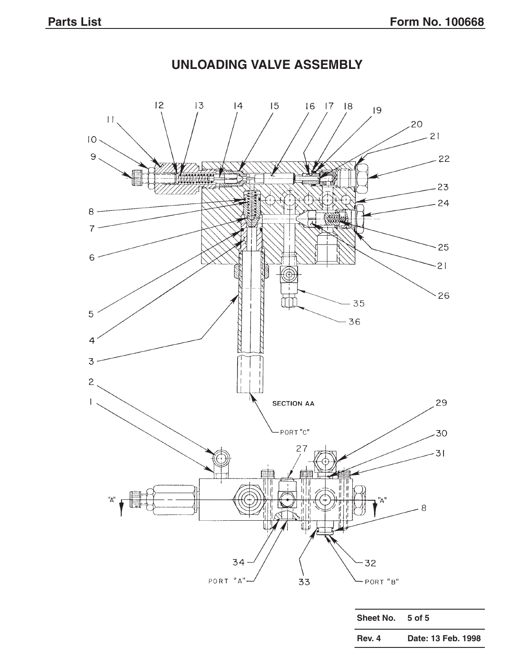